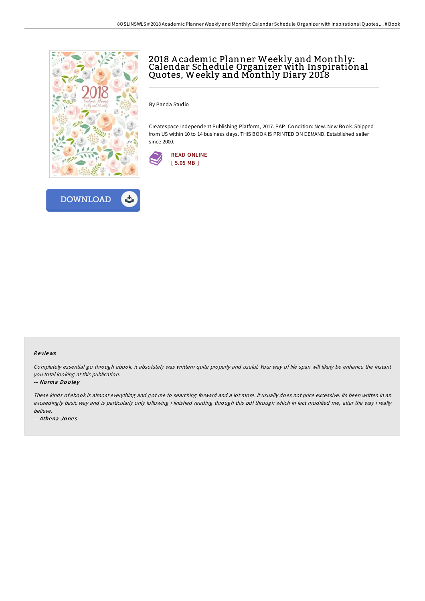

**DOWNLOAD** 

ٹے

## 2018 A cademic Planner Weekly and Monthly: Calendar Schedule Organizer with Inspirational Quotes, Weekly and Monthly Diary 2018

By Panda Studio

Createspace Independent Publishing Platform, 2017. PAP. Condition: New. New Book. Shipped from US within 10 to 14 business days. THIS BOOK IS PRINTED ON DEMAND. Established seller since 2000.



## Re views

Completely essential go through ebook. it absolutely was writtern quite properly and useful. Your way of life span will likely be enhance the instant you total looking at this publication.

## -- Norma Dooley

These kinds of ebook is almost everything and got me to searching forward and <sup>a</sup> lot more. It usually does not price excessive. Its been written in an exceedingly basic way and is particularly only following i finished reading through this pdf through which in fact modified me, alter the way i really believe.

-- Athena Jones